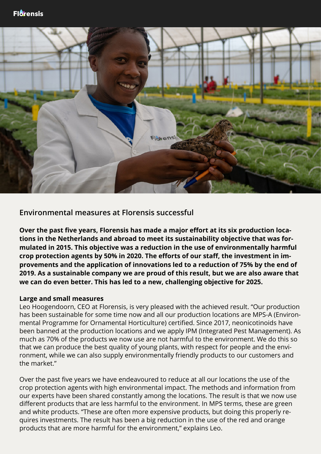

**Environmental measures at Florensis successful**

**Over the past five years, Florensis has made a major effort at its six production locations in the Netherlands and abroad to meet its sustainability objective that was formulated in 2015. This objective was a reduction in the use of environmentally harmful crop protection agents by 50% in 2020. The efforts of our staff, the investment in improvements and the application of innovations led to a reduction of 75% by the end of 2019. As a sustainable company we are proud of this result, but we are also aware that we can do even better. This has led to a new, challenging objective for 2025.**

## **Large and small measures**

Leo Hoogendoorn, CEO at Florensis, is very pleased with the achieved result. "Our production has been sustainable for some time now and all our production locations are MPS-A (Environmental Programme for Ornamental Horticulture) certified. Since 2017, neonicotinoids have been banned at the production locations and we apply IPM (Integrated Pest Management). As much as 70% of the products we now use are not harmful to the environment. We do this so that we can produce the best quality of young plants, with respect for people and the environment, while we can also supply environmentally friendly products to our customers and the market."

Over the past five years we have endeavoured to reduce at all our locations the use of the crop protection agents with high environmental impact. The methods and information from our experts have been shared constantly among the locations. The result is that we now use different products that are less harmful to the environment. In MPS terms, these are green and white products. "These are often more expensive products, but doing this properly requires investments. The result has been a big reduction in the use of the red and orange products that are more harmful for the environment," explains Leo.